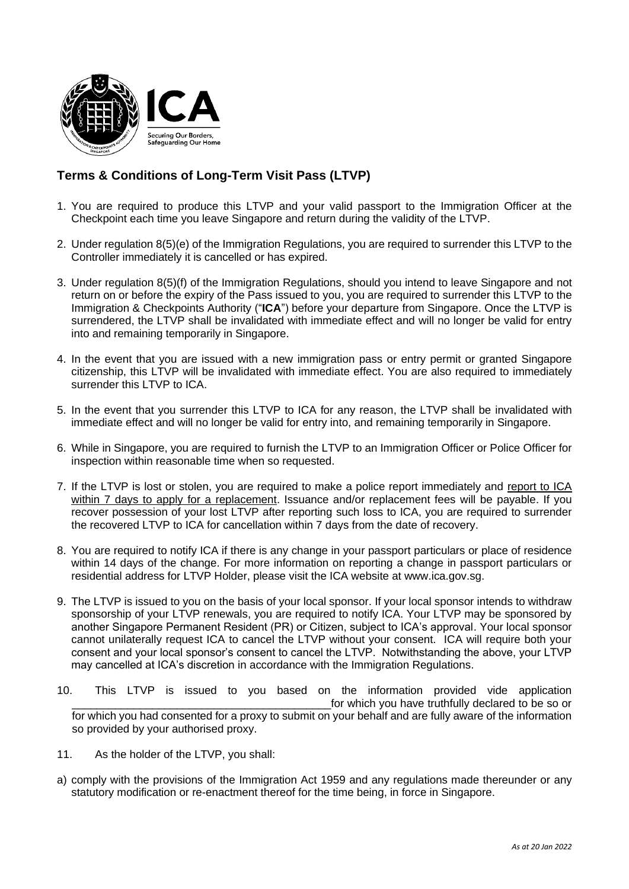

## **Terms & Conditions of Long-Term Visit Pass (LTVP)**

- 1. You are required to produce this LTVP and your valid passport to the Immigration Officer at the Checkpoint each time you leave Singapore and return during the validity of the LTVP.
- 2. Under regulation 8(5)(e) of the Immigration Regulations, you are required to surrender this LTVP to the Controller immediately it is cancelled or has expired.
- 3. Under regulation 8(5)(f) of the Immigration Regulations, should you intend to leave Singapore and not return on or before the expiry of the Pass issued to you, you are required to surrender this LTVP to the Immigration & Checkpoints Authority ("**ICA**") before your departure from Singapore. Once the LTVP is surrendered, the LTVP shall be invalidated with immediate effect and will no longer be valid for entry into and remaining temporarily in Singapore.
- 4. In the event that you are issued with a new immigration pass or entry permit or granted Singapore citizenship, this LTVP will be invalidated with immediate effect. You are also required to immediately surrender this LTVP to ICA.
- 5. In the event that you surrender this LTVP to ICA for any reason, the LTVP shall be invalidated with immediate effect and will no longer be valid for entry into, and remaining temporarily in Singapore.
- 6. While in Singapore, you are required to furnish the LTVP to an Immigration Officer or Police Officer for inspection within reasonable time when so requested.
- 7. If the LTVP is lost or stolen, you are required to make a police report immediately and report to ICA within 7 days to apply for a replacement. Issuance and/or replacement fees will be payable. If you recover possession of your lost LTVP after reporting such loss to ICA, you are required to surrender the recovered LTVP to ICA for cancellation within 7 days from the date of recovery.
- 8. You are required to notify ICA if there is any change in your passport particulars or place of residence within 14 days of the change. For more information on reporting a change in passport particulars or residential address for LTVP Holder, please visit the ICA website at www.ica.gov.sg.
- 9. The LTVP is issued to you on the basis of your local sponsor. If your local sponsor intends to withdraw sponsorship of your LTVP renewals, you are required to notify ICA. Your LTVP may be sponsored by another Singapore Permanent Resident (PR) or Citizen, subject to ICA's approval. Your local sponsor cannot unilaterally request ICA to cancel the LTVP without your consent. ICA will require both your consent and your local sponsor's consent to cancel the LTVP. Notwithstanding the above, your LTVP may cancelled at ICA's discretion in accordance with the Immigration Regulations.
- 10. This LTVP is issued to you based on the information provided vide application for which you have truthfully declared to be so or for which you had consented for a proxy to submit on your behalf and are fully aware of the information so provided by your authorised proxy.
- 11. As the holder of the LTVP, you shall:
- a) comply with the provisions of the Immigration Act 1959 and any regulations made thereunder or any statutory modification or re-enactment thereof for the time being, in force in Singapore.